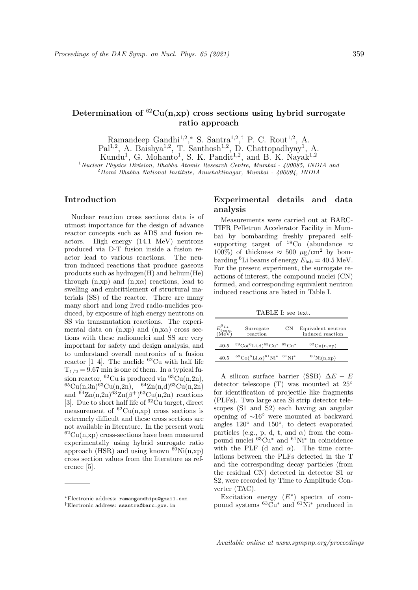# Determination of  ${}^{62}Cu(n,xp)$  cross sections using hybrid surrogate ratio approach

Ramandeep Gandhi<sup>1,2</sup>,<sup>\*</sup> S. Santra<sup>1,2</sup>,<sup>†</sup> P. C. Rout<sup>1,2</sup>, A.

Pal<sup>1,2</sup>, A. Baishya<sup>1,2</sup>, T. Santhosh<sup>1,2</sup>, D. Chattopadhyay<sup>1</sup>, A.

Kundu<sup>1</sup>, G. Mohanto<sup>1</sup>, S. K. Pandit<sup>1,2</sup>, and B. K. Nayak<sup>1,2</sup>

<sup>1</sup> Nuclear Physics Division, Bhabha Atomic Research Centre, Mumbai - 400085, INDIA and

<sup>2</sup>Homi Bhabha National Institute, Anushaktinagar, Mumbai - 400094, INDIA

## Introduction

Nuclear reaction cross sections data is of utmost importance for the design of advance reactor concepts such as ADS and fusion reactors. High energy (14.1 MeV) neutrons produced via D-T fusion inside a fusion reactor lead to various reactions. The neutron induced reactions that produce gaseous products such as hydrogen(H) and helium(He) through  $(n, xp)$  and  $(n,xa)$  reactions, lead to swelling and embrittlement of structural materials (SS) of the reactor. There are many many short and long lived radio-nuclides produced, by exposure of high energy neutrons on SS via transmutation reactions. The experimental data on  $(n, xp)$  and  $(n,xa)$  cross sections with these radionuclei and SS are very important for safety and design analysis, and to understand overall neutronics of a fusion reactor [1–4]. The nuclide  ${}^{62}$ Cu with half life  $T_{1/2} = 9.67$  min is one of them. In a typical fusion reactor,  ${}^{62}Cu$  is produced via  ${}^{63}Cu(n,2n)$ ,  ${}^{65}Cu(n,3n){}^{63}Cu(n,2n),$   ${}^{64}Zn(n,d){}^{63}Cu(n,2n)$ and  ${}^{64}$ Zn(n,2n) ${}^{63}$ Zn( $\beta$ <sup>+</sup>) ${}^{63}$ Cu(n,2n) reactions [3]. Due to short half life of  ${}^{62}$ Cu target, direct measurement of  ${}^{62}Cu(n,xp)$  cross sections is extremely difficult and these cross sections are not available in literature. In the present work  ${}^{62}Cu(n,xp)$  cross-sections have been measured experimentally using hybrid surrogate ratio approach (HSR) and using known  ${}^{60}\text{Ni(n,xp)}$ cross section values from the literature as reference [5].

# Experimental details and data analysis

Measurements were carried out at BARC-TIFR Pelletron Accelerator Facility in Mumbai by bombarding freshly prepared selfsupporting target of  $59\degree$ Co (abundance  $\approx$ 100%) of thickness  $\approx 500 \mu g/cm^2$  by bombarding <sup>6</sup>Li beams of energy  $E_{\rm lab} = 40.5$  MeV. For the present experiment, the surrogate reactions of interest, the compound nuclei (CN) formed, and corresponding equivalent neutron induced reactions are listed in Table I.

TABLE I: see text.

| $E_{beam}^{6Li}$<br>(MeV) | Surrogate<br>reaction                                     | CN | Equivalent neutron<br>induced reaction       |
|---------------------------|-----------------------------------------------------------|----|----------------------------------------------|
| 40.5                      | ${}^{59}Co({}^{6}Li,d){}^{63}Cu*{}^{63}Cu*$               |    | ${}^{62}Cu(n, xp)$                           |
| 40.5                      | ${}^{59}Co({}^{6}Li,\alpha){}^{61}Ni^{*}$ ${}^{61}Ni^{*}$ |    | ${}^{60}\mathrm{Ni}(\mathrm{n},\mathrm{xp})$ |

A silicon surface barrier (SSB)  $\Delta E - E$ detector telescope (T) was mounted at 25◦ for identification of projectile like fragments (PLFs). Two large area Si strip detector telescopes (S1 and S2) each having an angular opening of ∼16◦ were mounted at backward angles 120◦ and 150◦ , to detect evaporated particles (e.g., p, d, t, and  $\alpha$ ) from the compound nuclei <sup>63</sup>Cu<sup>∗</sup> and <sup>61</sup>Ni<sup>∗</sup> in coincidence with the PLF (d and  $\alpha$ ). The time correlations between the PLFs detected in the T and the corresponding decay particles (from the residual CN) detected in detector S1 or S2, were recorded by Time to Amplitude Converter (TAC).

Excitation energy  $(E^*)$  spectra of compound systems  ${}^{63}Cu^*$  and  ${}^{61}Ni^*$  produced in

<sup>∗</sup>Electronic address: ramangandhipu@gmail.com †Electronic address: ssantra@barc.gov.in